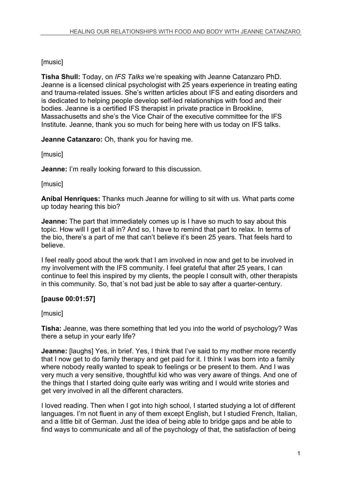# [music]

**Tisha Shull:** Today, on *IFS Talks* we're speaking with Jeanne Catanzaro PhD. Jeanne is a licensed clinical psychologist with 25 years experience in treating eating and trauma-related issues. She's written articles about IFS and eating disorders and is dedicated to helping people develop self-led relationships with food and their bodies. Jeanne is a certified IFS therapist in private practice in Brookline, Massachusetts and she's the Vice Chair of the executive committee for the IFS Institute. Jeanne, thank you so much for being here with us today on IFS talks.

**Jeanne Catanzaro:** Oh, thank you for having me.

[music]

**Jeanne:** I'm really looking forward to this discussion.

[music]

**Aníbal Henriques:** Thanks much Jeanne for willing to sit with us. What parts come up today hearing this bio?

**Jeanne:** The part that immediately comes up is I have so much to say about this topic. How will I get it all in? And so, I have to remind that part to relax. In terms of the bio, there's a part of me that can't believe it's been 25 years. That feels hard to believe.

I feel really good about the work that I am involved in now and get to be involved in my involvement with the IFS community. I feel grateful that after 25 years, I can continue to feel this inspired by my clients, the people I consult with, other therapists in this community. So, that´s not bad just be able to say after a quarter-century.

# **[pause 00:01:57]**

[music]

**Tisha:** Jeanne, was there something that led you into the world of psychology? Was there a setup in your early life?

**Jeanne:** Ilaughs] Yes, in brief. Yes, I think that I've said to my mother more recently that I now get to do family therapy and get paid for it. I think I was born into a family where nobody really wanted to speak to feelings or be present to them. And I was very much a very sensitive, thoughtful kid who was very aware of things. And one of the things that I started doing quite early was writing and I would write stories and get very involved in all the different characters.

I loved reading. Then when I got into high school, I started studying a lot of different languages. I'm not fluent in any of them except English, but I studied French, Italian, and a little bit of German. Just the idea of being able to bridge gaps and be able to find ways to communicate and all of the psychology of that, the satisfaction of being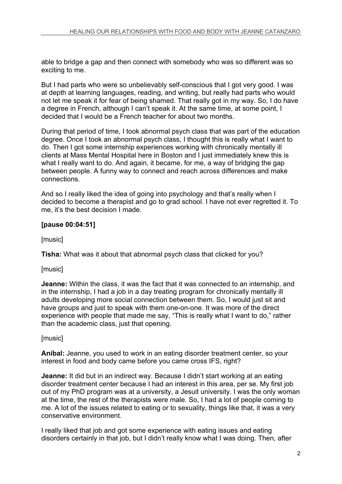able to bridge a gap and then connect with somebody who was so different was so exciting to me.

But I had parts who were so unbelievably self-conscious that I got very good. I was at depth at learning languages, reading, and writing, but really had parts who would not let me speak it for fear of being shamed. That really got in my way. So, I do have a degree in French, although I can't speak it. At the same time, at some point, I decided that I would be a French teacher for about two months.

During that period of time, I took abnormal psych class that was part of the education degree. Once I took an abnormal psych class, I thought this is really what I want to do. Then I got some internship experiences working with chronically mentally ill clients at Mass Mental Hospital here in Boston and I just immediately knew this is what I really want to do. And again, it became, for me, a way of bridging the gap between people. A funny way to connect and reach across differences and make connections.

And so I really liked the idea of going into psychology and that's really when I decided to become a therapist and go to grad school. I have not ever regretted it. To me, it's the best decision I made.

# **[pause 00:04:51]**

[music]

**Tisha:** What was it about that abnormal psych class that clicked for you?

## [music]

**Jeanne:** Within the class, it was the fact that it was connected to an internship, and in the internship, I had a job in a day treating program for chronically mentally ill adults developing more social connection between them. So, I would just sit and have groups and just to speak with them one-on-one. It was more of the direct experience with people that made me say, "This is really what I want to do," rather than the academic class, just that opening.

## [music]

**Aníbal:** Jeanne, you used to work in an eating disorder treatment center, so your interest in food and body came before you came cross IFS, right?

**Jeanne:** It did but in an indirect way. Because I didn't start working at an eating disorder treatment center because I had an interest in this area, per se. My first job out of my PhD program was at a university, a Jesuit university. I was the only woman at the time, the rest of the therapists were male. So, I had a lot of people coming to me. A lot of the issues related to eating or to sexuality, things like that, it was a very conservative environment.

I really liked that job and got some experience with eating issues and eating disorders certainly in that job, but I didn't really know what I was doing. Then, after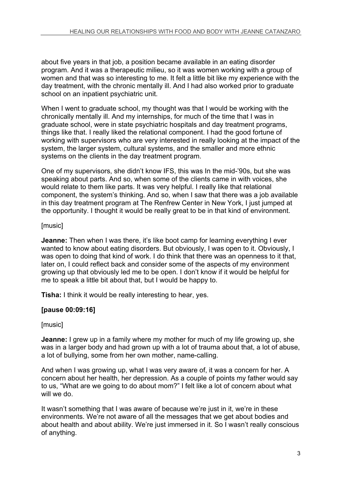about five years in that job, a position became available in an eating disorder program. And it was a therapeutic milieu, so it was women working with a group of women and that was so interesting to me. It felt a little bit like my experience with the day treatment, with the chronic mentally ill. And I had also worked prior to graduate school on an inpatient psychiatric unit.

When I went to graduate school, my thought was that I would be working with the chronically mentally ill. And my internships, for much of the time that I was in graduate school, were in state psychiatric hospitals and day treatment programs, things like that. I really liked the relational component. I had the good fortune of working with supervisors who are very interested in really looking at the impact of the system, the larger system, cultural systems, and the smaller and more ethnic systems on the clients in the day treatment program.

One of my supervisors, she didn't know IFS, this was In the mid-'90s, but she was speaking about parts. And so, when some of the clients came in with voices, she would relate to them like parts. It was very helpful. I really like that relational component, the system's thinking. And so, when I saw that there was a job available in this day treatment program at The Renfrew Center in New York, I just jumped at the opportunity. I thought it would be really great to be in that kind of environment.

# [music]

**Jeanne:** Then when I was there, it's like boot camp for learning everything I ever wanted to know about eating disorders. But obviously, I was open to it. Obviously, I was open to doing that kind of work. I do think that there was an openness to it that, later on, I could reflect back and consider some of the aspects of my environment growing up that obviously led me to be open. I don't know if it would be helpful for me to speak a little bit about that, but I would be happy to.

**Tisha:** I think it would be really interesting to hear, yes.

# **[pause 00:09:16]**

# [music]

**Jeanne:** I grew up in a family where my mother for much of my life growing up, she was in a larger body and had grown up with a lot of trauma about that, a lot of abuse, a lot of bullying, some from her own mother, name-calling.

And when I was growing up, what I was very aware of, it was a concern for her. A concern about her health, her depression. As a couple of points my father would say to us, "What are we going to do about mom?" I felt like a lot of concern about what will we do.

It wasn't something that I was aware of because we're just in it, we're in these environments. We're not aware of all the messages that we get about bodies and about health and about ability. We're just immersed in it. So I wasn't really conscious of anything.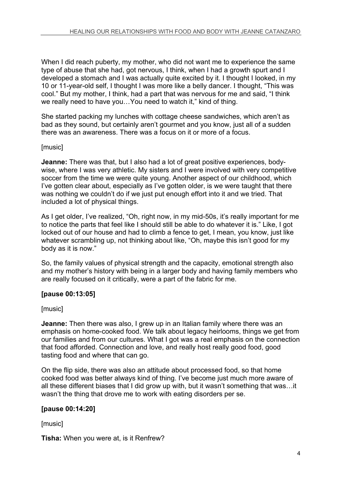When I did reach puberty, my mother, who did not want me to experience the same type of abuse that she had, got nervous, I think, when I had a growth spurt and I developed a stomach and I was actually quite excited by it. I thought I looked, in my 10 or 11-year-old self, I thought I was more like a belly dancer. I thought, "This was cool." But my mother, I think, had a part that was nervous for me and said, "I think we really need to have you…You need to watch it," kind of thing.

She started packing my lunches with cottage cheese sandwiches, which aren't as bad as they sound, but certainly aren't gourmet and you know, just all of a sudden there was an awareness. There was a focus on it or more of a focus.

# [music]

**Jeanne:** There was that, but I also had a lot of great positive experiences, bodywise, where I was very athletic. My sisters and I were involved with very competitive soccer from the time we were quite young. Another aspect of our childhood, which I've gotten clear about, especially as I've gotten older, is we were taught that there was nothing we couldn't do if we just put enough effort into it and we tried. That included a lot of physical things.

As I get older, I've realized, "Oh, right now, in my mid-50s, it's really important for me to notice the parts that feel like I should still be able to do whatever it is." Like, I got locked out of our house and had to climb a fence to get, I mean, you know, just like whatever scrambling up, not thinking about like, "Oh, maybe this isn't good for my body as it is now."

So, the family values of physical strength and the capacity, emotional strength also and my mother's history with being in a larger body and having family members who are really focused on it critically, were a part of the fabric for me.

# **[pause 00:13:05]**

## [music]

**Jeanne:** Then there was also, I grew up in an Italian family where there was an emphasis on home-cooked food. We talk about legacy heirlooms, things we get from our families and from our cultures. What I got was a real emphasis on the connection that food afforded. Connection and love, and really host really good food, good tasting food and where that can go.

On the flip side, there was also an attitude about processed food, so that home cooked food was better always kind of thing. I've become just much more aware of all these different biases that I did grow up with, but it wasn't something that was…it wasn't the thing that drove me to work with eating disorders per se.

## **[pause 00:14:20]**

[music]

**Tisha:** When you were at, is it Renfrew?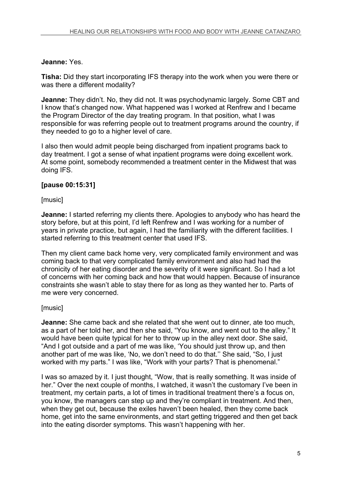# **Jeanne:** Yes.

**Tisha:** Did they start incorporating IFS therapy into the work when you were there or was there a different modality?

**Jeanne:** They didn't. No, they did not. It was psychodynamic largely. Some CBT and I know that's changed now. What happened was I worked at Renfrew and I became the Program Director of the day treating program. In that position, what I was responsible for was referring people out to treatment programs around the country, if they needed to go to a higher level of care.

I also then would admit people being discharged from inpatient programs back to day treatment. I got a sense of what inpatient programs were doing excellent work. At some point, somebody recommended a treatment center in the Midwest that was doing IFS.

# **[pause 00:15:31]**

## [music]

**Jeanne:** I started referring my clients there. Apologies to anybody who has heard the story before, but at this point, I'd left Renfrew and I was working for a number of years in private practice, but again, I had the familiarity with the different facilities. I started referring to this treatment center that used IFS.

Then my client came back home very, very complicated family environment and was coming back to that very complicated family environment and also had had the chronicity of her eating disorder and the severity of it were significant. So I had a lot of concerns with her coming back and how that would happen. Because of insurance constraints she wasn't able to stay there for as long as they wanted her to. Parts of me were very concerned.

## **[music]**

**Jeanne:** She came back and she related that she went out to dinner, ate too much, as a part of her told her, and then she said, "You know, and went out to the alley." It would have been quite typical for her to throw up in the alley next door. She said, "And I got outside and a part of me was like, 'You should just throw up, and then another part of me was like, 'No, we don't need to do that.'' She said, "So, I just worked with my parts." I was like, "Work with your parts? That is phenomenal."

I was so amazed by it. I just thought, "Wow, that is really something. It was inside of her." Over the next couple of months, I watched, it wasn't the customary I've been in treatment, my certain parts, a lot of times in traditional treatment there's a focus on, you know, the managers can step up and they're compliant in treatment. And then, when they get out, because the exiles haven't been healed, then they come back home, get into the same environments, and start getting triggered and then get back into the eating disorder symptoms. This wasn't happening with her.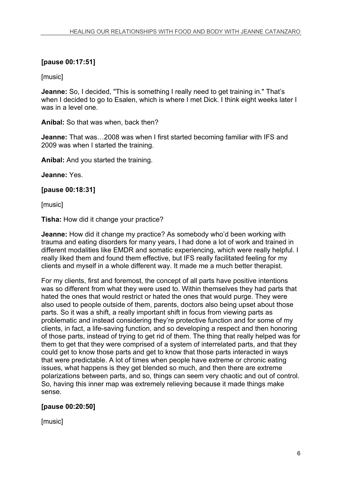# **[pause 00:17:51]**

[music]

**Jeanne:** So, I decided, "This is something I really need to get training in." That's when I decided to go to Esalen, which is where I met Dick. I think eight weeks later I was in a level one.

**Aníbal:** So that was when, back then?

**Jeanne:** That was…2008 was when I first started becoming familiar with IFS and 2009 was when I started the training.

**Aníbal:** And you started the training.

**Jeanne:** Yes.

**[pause 00:18:31]**

[music]

**Tisha:** How did it change your practice?

**Jeanne:** How did it change my practice? As somebody who'd been working with trauma and eating disorders for many years, I had done a lot of work and trained in different modalities like EMDR and somatic experiencing, which were really helpful. I really liked them and found them effective, but IFS really facilitated feeling for my clients and myself in a whole different way. It made me a much better therapist.

For my clients, first and foremost, the concept of all parts have positive intentions was so different from what they were used to. Within themselves they had parts that hated the ones that would restrict or hated the ones that would purge. They were also used to people outside of them, parents, doctors also being upset about those parts. So it was a shift, a really important shift in focus from viewing parts as problematic and instead considering they're protective function and for some of my clients, in fact, a life-saving function, and so developing a respect and then honoring of those parts, instead of trying to get rid of them. The thing that really helped was for them to get that they were comprised of a system of interrelated parts, and that they could get to know those parts and get to know that those parts interacted in ways that were predictable. A lot of times when people have extreme or chronic eating issues, what happens is they get blended so much, and then there are extreme polarizations between parts, and so, things can seem very chaotic and out of control. So, having this inner map was extremely relieving because it made things make sense.

# **[pause 00:20:50]**

[music]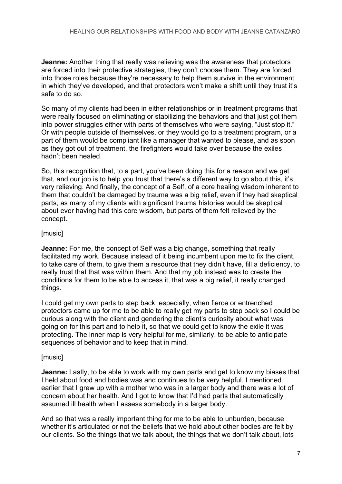**Jeanne:** Another thing that really was relieving was the awareness that protectors are forced into their protective strategies, they don't choose them. They are forced into those roles because they're necessary to help them survive in the environment in which they've developed, and that protectors won't make a shift until they trust it's safe to do so.

So many of my clients had been in either relationships or in treatment programs that were really focused on eliminating or stabilizing the behaviors and that just got them into power struggles either with parts of themselves who were saying, "Just stop it." Or with people outside of themselves, or they would go to a treatment program, or a part of them would be compliant like a manager that wanted to please, and as soon as they got out of treatment, the firefighters would take over because the exiles hadn't been healed.

So, this recognition that, to a part, you've been doing this for a reason and we get that, and our job is to help you trust that there's a different way to go about this, it's very relieving. And finally, the concept of a Self, of a core healing wisdom inherent to them that couldn't be damaged by trauma was a big relief, even if they had skeptical parts, as many of my clients with significant trauma histories would be skeptical about ever having had this core wisdom, but parts of them felt relieved by the concept.

# [music]

**Jeanne:** For me, the concept of Self was a big change, something that really facilitated my work. Because instead of it being incumbent upon me to fix the client, to take care of them, to give them a resource that they didn't have, fill a deficiency, to really trust that that was within them. And that my job instead was to create the conditions for them to be able to access it, that was a big relief, it really changed things.

I could get my own parts to step back, especially, when fierce or entrenched protectors came up for me to be able to really get my parts to step back so I could be curious along with the client and gendering the client's curiosity about what was going on for this part and to help it, so that we could get to know the exile it was protecting. The inner map is very helpful for me, similarly, to be able to anticipate sequences of behavior and to keep that in mind.

## [music]

**Jeanne:** Lastly, to be able to work with my own parts and get to know my biases that I held about food and bodies was and continues to be very helpful. I mentioned earlier that I grew up with a mother who was in a larger body and there was a lot of concern about her health. And I got to know that I'd had parts that automatically assumed ill health when I assess somebody in a larger body.

And so that was a really important thing for me to be able to unburden, because whether it's articulated or not the beliefs that we hold about other bodies are felt by our clients. So the things that we talk about, the things that we don't talk about, lots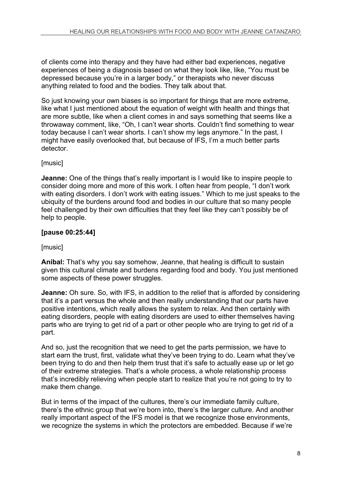of clients come into therapy and they have had either bad experiences, negative experiences of being a diagnosis based on what they look like, like, "You must be depressed because you're in a larger body," or therapists who never discuss anything related to food and the bodies. They talk about that.

So just knowing your own biases is so important for things that are more extreme, like what I just mentioned about the equation of weight with health and things that are more subtle, like when a client comes in and says something that seems like a throwaway comment, like, "Oh, I can't wear shorts. Couldn't find something to wear today because I can't wear shorts. I can't show my legs anymore." In the past, I might have easily overlooked that, but because of IFS, I'm a much better parts detector.

# [music]

**Jeanne:** One of the things that's really important is I would like to inspire people to consider doing more and more of this work. I often hear from people, "I don't work with eating disorders. I don't work with eating issues." Which to me just speaks to the ubiquity of the burdens around food and bodies in our culture that so many people feel challenged by their own difficulties that they feel like they can't possibly be of help to people.

# **[pause 00:25:44]**

## [music]

**Aníbal:** That's why you say somehow, Jeanne, that healing is difficult to sustain given this cultural climate and burdens regarding food and body. You just mentioned some aspects of these power struggles.

**Jeanne:** Oh sure. So, with IFS, in addition to the relief that is afforded by considering that it's a part versus the whole and then really understanding that our parts have positive intentions, which really allows the system to relax. And then certainly with eating disorders, people with eating disorders are used to either themselves having parts who are trying to get rid of a part or other people who are trying to get rid of a part.

And so, just the recognition that we need to get the parts permission, we have to start earn the trust, first, validate what they've been trying to do. Learn what they've been trying to do and then help them trust that it's safe to actually ease up or let go of their extreme strategies. That's a whole process, a whole relationship process that's incredibly relieving when people start to realize that you're not going to try to make them change.

But in terms of the impact of the cultures, there's our immediate family culture, there's the ethnic group that we're born into, there's the larger culture. And another really important aspect of the IFS model is that we recognize those environments, we recognize the systems in which the protectors are embedded. Because if we're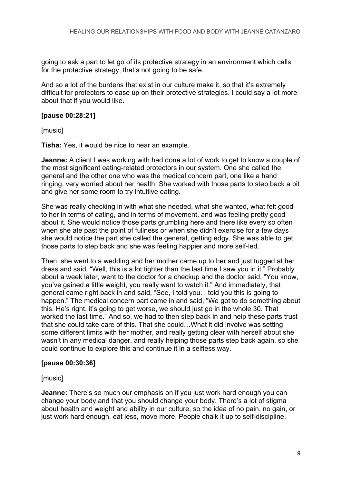going to ask a part to let go of its protective strategy in an environment which calls for the protective strategy, that's not going to be safe.

And so a lot of the burdens that exist in our culture make it, so that it's extremely difficult for protectors to ease up on their protective strategies. I could say a lot more about that if you would like.

# **[pause 00:28:21]**

[music]

**Tisha:** Yes, it would be nice to hear an example.

**Jeanne:** A client I was working with had done a lot of work to get to know a couple of the most significant eating-related protectors in our system. One she called the general and the other one who was the medical concern part, one like a hand ringing, very worried about her health. She worked with those parts to step back a bit and give her some room to try intuitive eating.

She was really checking in with what she needed, what she wanted, what felt good to her in terms of eating, and in terms of movement, and was feeling pretty good about it. She would notice those parts grumbling here and there like every so often when she ate past the point of fullness or when she didn't exercise for a few days she would notice the part she called the general, getting edgy. She was able to get those parts to step back and she was feeling happier and more self-led.

Then, she went to a wedding and her mother came up to her and just tugged at her dress and said, "Well, this is a lot tighter than the last time I saw you in it." Probably about a week later, went to the doctor for a checkup and the doctor said, "You know, you've gained a little weight, you really want to watch it." And immediately, that general came right back in and said, "See, I told you. I told you this is going to happen." The medical concern part came in and said, "We got to do something about this. He's right, it's going to get worse, we should just go in the whole 30. That worked the last time." And so, we had to then step back in and help these parts trust that she could take care of this. That she could…What it did involve was setting some different limits with her mother, and really getting clear with herself about she wasn't in any medical danger, and really helping those parts step back again, so she could continue to explore this and continue it in a selfless way.

## **[pause 00:30:36]**

## [music]

**Jeanne:** There's so much our emphasis on if you just work hard enough you can change your body and that you should change your body. There's a lot of stigma about health and weight and ability in our culture, so the idea of no pain, no gain, or just work hard enough, eat less, move more. People chalk it up to self-discipline.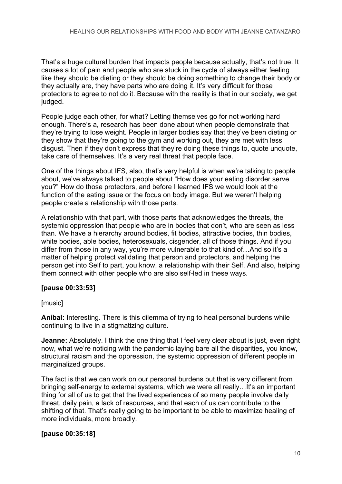That's a huge cultural burden that impacts people because actually, that's not true. It causes a lot of pain and people who are stuck in the cycle of always either feeling like they should be dieting or they should be doing something to change their body or they actually are, they have parts who are doing it. It's very difficult for those protectors to agree to not do it. Because with the reality is that in our society, we get judged.

People judge each other, for what? Letting themselves go for not working hard enough. There's a, research has been done about when people demonstrate that they're trying to lose weight. People in larger bodies say that they've been dieting or they show that they're going to the gym and working out, they are met with less disgust. Then if they don't express that they're doing these things to, quote unquote, take care of themselves. It's a very real threat that people face.

One of the things about IFS, also, that's very helpful is when we're talking to people about, we've always talked to people about "How does your eating disorder serve you?" How do those protectors, and before I learned IFS we would look at the function of the eating issue or the focus on body image. But we weren't helping people create a relationship with those parts.

A relationship with that part, with those parts that acknowledges the threats, the systemic oppression that people who are in bodies that don't, who are seen as less than. We have a hierarchy around bodies, fit bodies, attractive bodies, thin bodies, white bodies, able bodies, heterosexuals, cisgender, all of those things. And if you differ from those in any way, you're more vulnerable to that kind of…And so it's a matter of helping protect validating that person and protectors, and helping the person get into Self to part, you know, a relationship with their Self. And also, helping them connect with other people who are also self-led in these ways.

# **[pause 00:33:53]**

[music]

**Aníbal:** Interesting. There is this dilemma of trying to heal personal burdens while continuing to live in a stigmatizing culture.

**Jeanne:** Absolutely. I think the one thing that I feel very clear about is just, even right now, what we're noticing with the pandemic laying bare all the disparities, you know, structural racism and the oppression, the systemic oppression of different people in marginalized groups.

The fact is that we can work on our personal burdens but that is very different from bringing self-energy to external systems, which we were all really…It's an important thing for all of us to get that the lived experiences of so many people involve daily threat, daily pain, a lack of resources, and that each of us can contribute to the shifting of that. That's really going to be important to be able to maximize healing of more individuals, more broadly.

# **[pause 00:35:18]**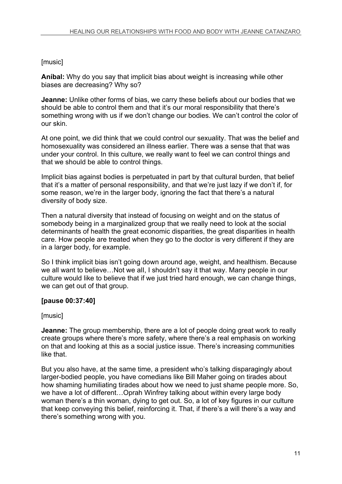# [music]

**Aníbal:** Why do you say that implicit bias about weight is increasing while other biases are decreasing? Why so?

**Jeanne:** Unlike other forms of bias, we carry these beliefs about our bodies that we should be able to control them and that it's our moral responsibility that there's something wrong with us if we don't change our bodies. We can't control the color of our skin.

At one point, we did think that we could control our sexuality. That was the belief and homosexuality was considered an illness earlier. There was a sense that that was under your control. In this culture, we really want to feel we can control things and that we should be able to control things.

Implicit bias against bodies is perpetuated in part by that cultural burden, that belief that it's a matter of personal responsibility, and that we're just lazy if we don't if, for some reason, we're in the larger body, ignoring the fact that there's a natural diversity of body size.

Then a natural diversity that instead of focusing on weight and on the status of somebody being in a marginalized group that we really need to look at the social determinants of health the great economic disparities, the great disparities in health care. How people are treated when they go to the doctor is very different if they are in a larger body, for example.

So I think implicit bias isn't going down around age, weight, and healthism. Because we all want to believe…Not we alI, I shouldn't say it that way. Many people in our culture would like to believe that if we just tried hard enough, we can change things, we can get out of that group.

# **[pause 00:37:40]**

# [music]

**Jeanne:** The group membership, there are a lot of people doing great work to really create groups where there's more safety, where there's a real emphasis on working on that and looking at this as a social justice issue. There's increasing communities like that.

But you also have, at the same time, a president who's talking disparagingly about larger-bodied people, you have comedians like Bill Maher going on tirades about how shaming humiliating tirades about how we need to just shame people more. So, we have a lot of different…Oprah Winfrey talking about within every large body woman there's a thin woman, dying to get out. So, a lot of key figures in our culture that keep conveying this belief, reinforcing it. That, if there's a will there's a way and there's something wrong with you.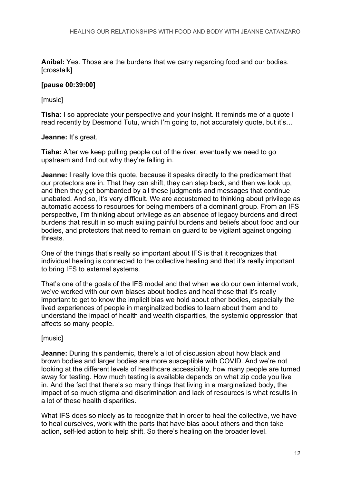**Aníbal:** Yes. Those are the burdens that we carry regarding food and our bodies. [crosstalk]

#### **[pause 00:39:00]**

[music]

**Tisha:** I so appreciate your perspective and your insight. It reminds me of a quote I read recently by Desmond Tutu, which I'm going to, not accurately quote, but it's…

#### **Jeanne:** It's great.

**Tisha:** After we keep pulling people out of the river, eventually we need to go upstream and find out why they're falling in.

**Jeanne:** I really love this quote, because it speaks directly to the predicament that our protectors are in. That they can shift, they can step back, and then we look up, and then they get bombarded by all these judgments and messages that continue unabated. And so, it's very difficult. We are accustomed to thinking about privilege as automatic access to resources for being members of a dominant group. From an IFS perspective, I'm thinking about privilege as an absence of legacy burdens and direct burdens that result in so much exiling painful burdens and beliefs about food and our bodies, and protectors that need to remain on guard to be vigilant against ongoing threats.

One of the things that's really so important about IFS is that it recognizes that individual healing is connected to the collective healing and that it's really important to bring IFS to external systems.

That's one of the goals of the IFS model and that when we do our own internal work, we've worked with our own biases about bodies and heal those that it's really important to get to know the implicit bias we hold about other bodies, especially the lived experiences of people in marginalized bodies to learn about them and to understand the impact of health and wealth disparities, the systemic oppression that affects so many people.

## [music]

**Jeanne:** During this pandemic, there's a lot of discussion about how black and brown bodies and larger bodies are more susceptible with COVID. And we're not looking at the different levels of healthcare accessibility, how many people are turned away for testing. How much testing is available depends on what zip code you live in. And the fact that there's so many things that living in a marginalized body, the impact of so much stigma and discrimination and lack of resources is what results in a lot of these health disparities.

What IFS does so nicely as to recognize that in order to heal the collective, we have to heal ourselves, work with the parts that have bias about others and then take action, self-led action to help shift. So there's healing on the broader level.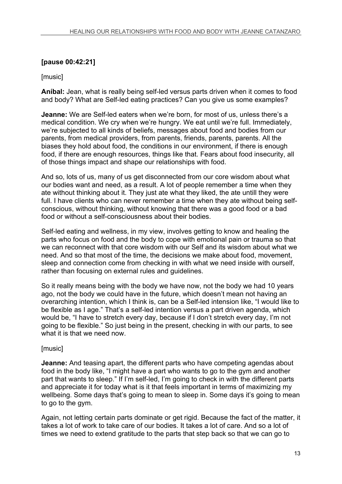# **[pause 00:42:21]**

# [music]

**Aníbal:** Jean, what is really being self-led versus parts driven when it comes to food and body? What are Self-led eating practices? Can you give us some examples?

**Jeanne:** We are Self-led eaters when we're born, for most of us, unless there's a medical condition. We cry when we're hungry. We eat until we're full. Immediately, we're subjected to all kinds of beliefs, messages about food and bodies from our parents, from medical providers, from parents, friends, parents, parents. All the biases they hold about food, the conditions in our environment, if there is enough food, if there are enough resources, things like that. Fears about food insecurity, all of those things impact and shape our relationships with food.

And so, lots of us, many of us get disconnected from our core wisdom about what our bodies want and need, as a result. A lot of people remember a time when they ate without thinking about it. They just ate what they liked, the ate untill they were full. I have clients who can never remember a time when they ate without being selfconscious, without thinking, without knowing that there was a good food or a bad food or without a self-consciousness about their bodies.

Self-led eating and wellness, in my view, involves getting to know and healing the parts who focus on food and the body to cope with emotional pain or trauma so that we can reconnect with that core wisdom with our Self and its wisdom about what we need. And so that most of the time, the decisions we make about food, movement, sleep and connection come from checking in with what we need inside with ourself, rather than focusing on external rules and guidelines.

So it really means being with the body we have now, not the body we had 10 years ago, not the body we could have in the future, which doesn't mean not having an overarching intention, which I think is, can be a Self-led intension like, "I would like to be flexible as I age." That's a self-led intention versus a part driven agenda, which would be, "I have to stretch every day, because if I don't stretch every day, I'm not going to be flexible." So just being in the present, checking in with our parts, to see what it is that we need now

# [music]

**Jeanne:** And teasing apart, the different parts who have competing agendas about food in the body like, "I might have a part who wants to go to the gym and another part that wants to sleep." If I'm self-led, I'm going to check in with the different parts and appreciate it for today what is it that feels important in terms of maximizing my wellbeing. Some days that's going to mean to sleep in. Some days it's going to mean to go to the gym.

Again, not letting certain parts dominate or get rigid. Because the fact of the matter, it takes a lot of work to take care of our bodies. It takes a lot of care. And so a lot of times we need to extend gratitude to the parts that step back so that we can go to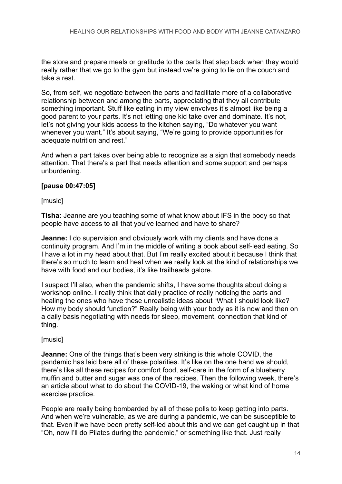the store and prepare meals or gratitude to the parts that step back when they would really rather that we go to the gym but instead we're going to lie on the couch and take a rest.

So, from self, we negotiate between the parts and facilitate more of a collaborative relationship between and among the parts, appreciating that they all contribute something important. Stuff like eating in my view envolves it's almost like being a good parent to your parts. It's not letting one kid take over and dominate. It's not, let's not giving your kids access to the kitchen saying, "Do whatever you want whenever you want." It's about saying, "We're going to provide opportunities for adequate nutrition and rest."

And when a part takes over being able to recognize as a sign that somebody needs attention. That there's a part that needs attention and some support and perhaps unburdening.

# **[pause 00:47:05]**

**[music]** 

**Tisha:** Jeanne are you teaching some of what know about IFS in the body so that people have access to all that you've learned and have to share?

**Jeanne:** I do supervision and obviously work with my clients and have done a continuity program. And I'm in the middle of writing a book about self-lead eating. So I have a lot in my head about that. But I'm really excited about it because I think that there's so much to learn and heal when we really look at the kind of relationships we have with food and our bodies, it's like trailheads galore.

I suspect I'll also, when the pandemic shifts, I have some thoughts about doing a workshop online. I really think that daily practice of really noticing the parts and healing the ones who have these unrealistic ideas about "What I should look like? How my body should function?" Really being with your body as it is now and then on a daily basis negotiating with needs for sleep, movement, connection that kind of thing.

## [music]

**Jeanne:** One of the things that's been very striking is this whole COVID, the pandemic has laid bare all of these polarities. It's like on the one hand we should, there's like all these recipes for comfort food, self-care in the form of a blueberry muffin and butter and sugar was one of the recipes. Then the following week, there's an article about what to do about the COVID-19, the waking or what kind of home exercise practice.

People are really being bombarded by all of these polls to keep getting into parts. And when we're vulnerable, as we are during a pandemic, we can be susceptible to that. Even if we have been pretty self-led about this and we can get caught up in that "Oh, now I'll do Pilates during the pandemic," or something like that. Just really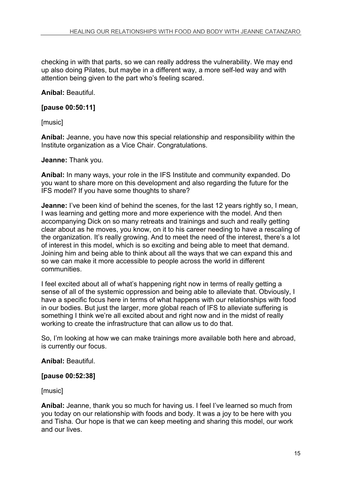checking in with that parts, so we can really address the vulnerability. We may end up also doing Pilates, but maybe in a different way, a more self-led way and with attention being given to the part who's feeling scared.

**Aníbal:** Beautiful.

**[pause 00:50:11]**

[music]

**Aníbal:** Jeanne, you have now this special relationship and responsibility within the Institute organization as a Vice Chair. Congratulations.

#### **Jeanne:** Thank you.

**Aníbal:** In many ways, your role in the IFS Institute and community expanded. Do you want to share more on this development and also regarding the future for the IFS model? If you have some thoughts to share?

**Jeanne:** I've been kind of behind the scenes, for the last 12 years rightly so, I mean, I was learning and getting more and more experience with the model. And then accompanying Dick on so many retreats and trainings and such and really getting clear about as he moves, you know, on it to his career needing to have a rescaling of the organization. It's really growing. And to meet the need of the interest, there's a lot of interest in this model, which is so exciting and being able to meet that demand. Joining him and being able to think about all the ways that we can expand this and so we can make it more accessible to people across the world in different communities.

I feel excited about all of what's happening right now in terms of really getting a sense of all of the systemic oppression and being able to alleviate that. Obviously, I have a specific focus here in terms of what happens with our relationships with food in our bodies. But just the larger, more global reach of IFS to alleviate suffering is something I think we're all excited about and right now and in the midst of really working to create the infrastructure that can allow us to do that.

So, I'm looking at how we can make trainings more available both here and abroad, is currently our focus.

## **Aníbal:** Beautiful.

## **[pause 00:52:38]**

[music]

**Aníbal:** Jeanne, thank you so much for having us. I feel I've learned so much from you today on our relationship with foods and body. It was a joy to be here with you and Tisha. Our hope is that we can keep meeting and sharing this model, our work and our lives.